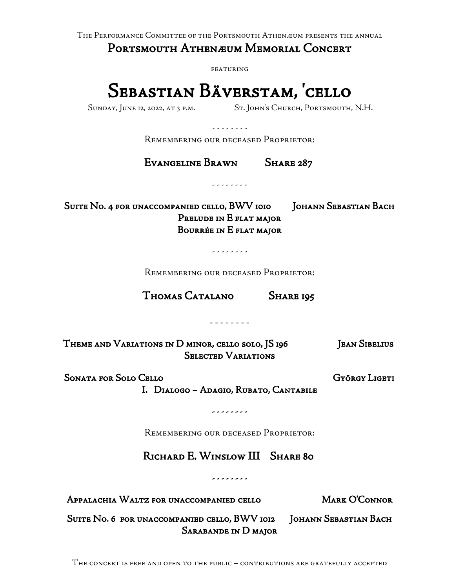The Performance Committee of the Portsmouth Athenæum presents the annual

Portsmouth Athenæum Memorial Concert

featuring

## Sebastian Bäverstam, 'cello

Sunday, June 12, 2022, at 3 p.m. St. John's Church, Portsmouth, N.H.

- - - - - - - -

Remembering our deceased Proprietor:

Evangeline Brawn Share 287

- - - - - - - -

Suite No. 4 for unaccompanied cello, BWV 1010 | JOHANN SEBASTIAN BACH Prelude in E flat major Bourrée in E flat major

- - - - - - - -

Remembering our deceased Proprietor:

Thomas Catalano Share 195

- - - - - - - -

Theme and Variations in D minor, cello solo, JS 196 Jean Sibelius Selected Variations

Sonata for Solo Cello George Channels Catalogue György Ligeti I. Dialogo – Adagio, Rubato, Cantabile

- - - - - - - -

Remembering our deceased Proprietor:

RICHARD E. WINSLOW III SHARE 80

- - - - - - - -

Appalachia Waltz for unaccompanied cello Mark O'Connor

Suite No. 6 for unaccompanied cello, BWV 1012 | Johann Sebastian Bach Sarabande in D major